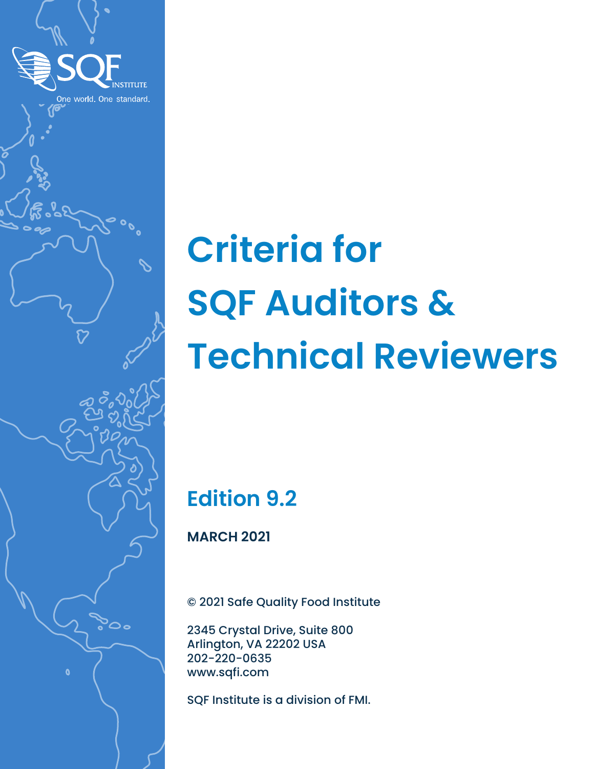

# **Criteria for SQF Auditors & Technical Reviewers**

# **Edition 9.2**

**MARCH 2021**

© 2021 Safe Quality Food Institute

2345 Crystal Drive, Suite 800 Arlington, VA 22202 USA 202-220-0635 www.sqfi.com

SQF Institute is a division of FMI.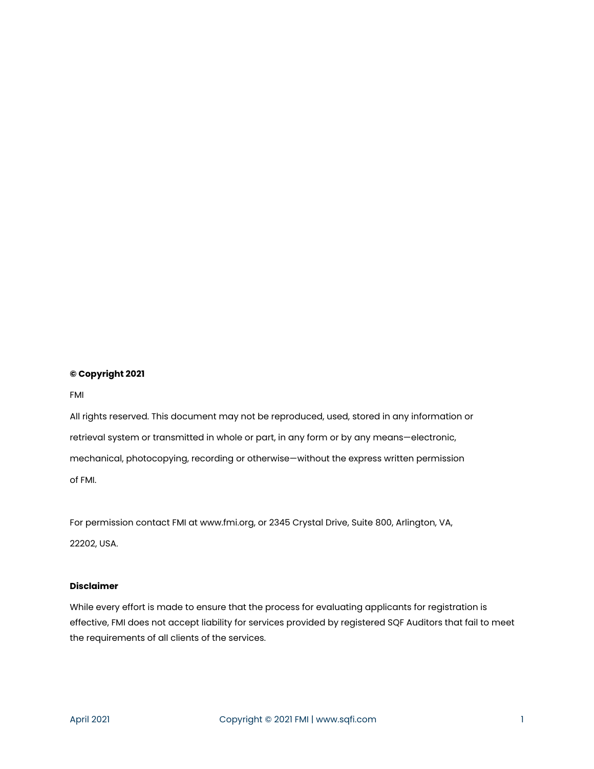#### **© Copyright 2021**

FMI

All rights reserved. This document may not be reproduced, used, stored in any information or retrieval system or transmitted in whole or part, in any form or by any means—electronic, mechanical, photocopying, recording or otherwise—without the express written permission of FMI.

For permission contact FMI at www.fmi.org, or 2345 Crystal Drive, Suite 800, Arlington, VA, 22202, USA.

#### **Disclaimer**

While every effort is made to ensure that the process for evaluating applicants for registration is effective, FMI does not accept liability for services provided by registered SQF Auditors that fail to meet the requirements of all clients of the services.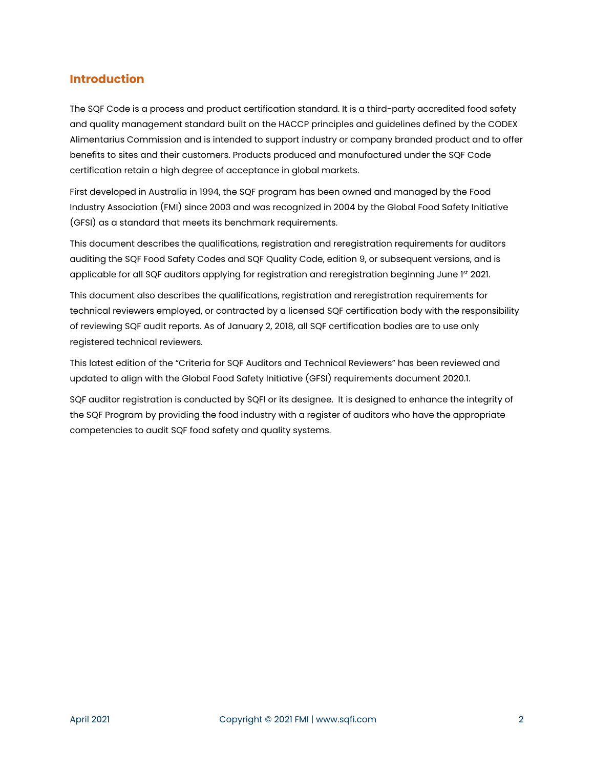#### <span id="page-2-0"></span>**Introduction**

The SQF Code is a process and product certification standard. It is a third-party accredited food safety and quality management standard built on the HACCP principles and guidelines defined by the CODEX Alimentarius Commission and is intended to support industry or company branded product and to offer benefits to sites and their customers. Products produced and manufactured under the SQF Code certification retain a high degree of acceptance in global markets.

First developed in Australia in 1994, the SQF program has been owned and managed by the Food Industry Association (FMI) since 2003 and was recognized in 2004 by the Global Food Safety Initiative (GFSI) as a standard that meets its benchmark requirements.

This document describes the qualifications, registration and reregistration requirements for auditors auditing the SQF Food Safety Codes and SQF Quality Code, edition 9, or subsequent versions, and is applicable for all SQF auditors applying for registration and reregistration beginning June 1st 2021.

This document also describes the qualifications, registration and reregistration requirements for technical reviewers employed, or contracted by a licensed SQF certification body with the responsibility of reviewing SQF audit reports. As of January 2, 2018, all SQF certification bodies are to use only registered technical reviewers.

This latest edition of the "Criteria for SQF Auditors and Technical Reviewers" has been reviewed and updated to align with the Global Food Safety Initiative (GFSI) requirements document 2020.1.

SQF auditor registration is conducted by SQFI or its designee. It is designed to enhance the integrity of the SQF Program by providing the food industry with a register of auditors who have the appropriate competencies to audit SQF food safety and quality systems.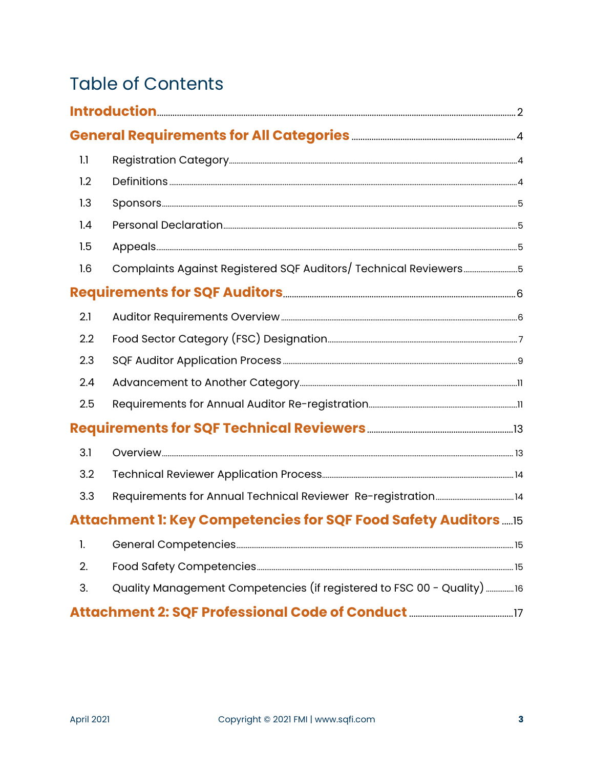# **Table of Contents**

| 1.1 |                                                                        |  |
|-----|------------------------------------------------------------------------|--|
| 1.2 |                                                                        |  |
| 1.3 |                                                                        |  |
| 1.4 |                                                                        |  |
| 1.5 |                                                                        |  |
| 1.6 | Complaints Against Registered SQF Auditors/ Technical Reviewers5       |  |
|     |                                                                        |  |
| 2.1 |                                                                        |  |
| 2.2 |                                                                        |  |
| 2.3 |                                                                        |  |
| 2.4 |                                                                        |  |
| 2.5 |                                                                        |  |
|     |                                                                        |  |
| 3.1 |                                                                        |  |
| 3.2 |                                                                        |  |
| 3.3 |                                                                        |  |
|     | Attachment 1: Key Competencies for SQF Food Safety Auditors  15        |  |
| 1.  |                                                                        |  |
| 2.  |                                                                        |  |
| 3.  | Quality Management Competencies (if registered to FSC 00 - Quality) 16 |  |
|     |                                                                        |  |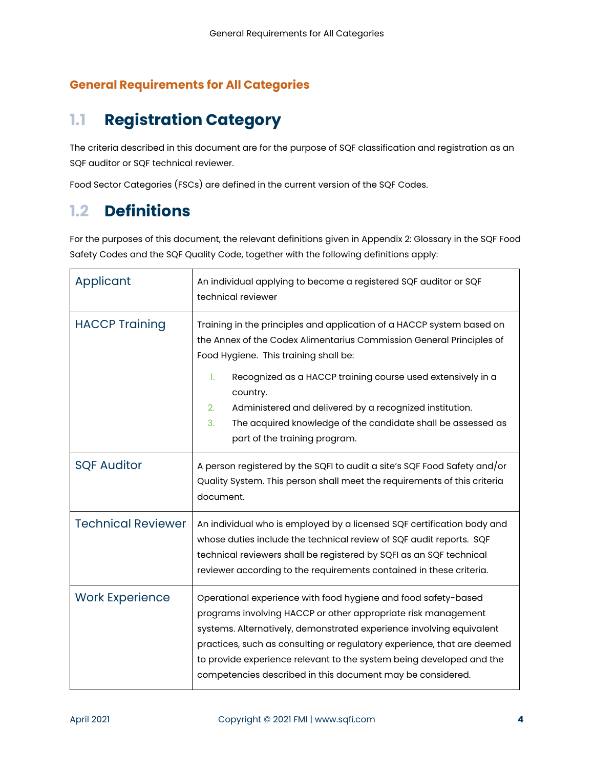### <span id="page-4-0"></span>**General Requirements for All Categories**

# <span id="page-4-1"></span>**1.1 Registration Category**

The criteria described in this document are for the purpose of SQF classification and registration as an SQF auditor or SQF technical reviewer.

Food Sector Categories (FSCs) are defined in the current version of the SQF Codes.

# <span id="page-4-2"></span>**1.2 Definitions**

For the purposes of this document, the relevant definitions given in Appendix 2: Glossary in the SQF Food Safety Codes and the SQF Quality Code, together with the following definitions apply:

| Applicant                 | An individual applying to become a registered SQF auditor or SQF<br>technical reviewer                                                                                                                                                                                                                                                                                                                                   |
|---------------------------|--------------------------------------------------------------------------------------------------------------------------------------------------------------------------------------------------------------------------------------------------------------------------------------------------------------------------------------------------------------------------------------------------------------------------|
| <b>HACCP Training</b>     | Training in the principles and application of a HACCP system based on<br>the Annex of the Codex Alimentarius Commission General Principles of<br>Food Hygiene. This training shall be:<br>1.<br>Recognized as a HACCP training course used extensively in a<br>country.<br>2.<br>Administered and delivered by a recognized institution.<br>The acquired knowledge of the candidate shall be assessed as<br>3.           |
|                           | part of the training program.                                                                                                                                                                                                                                                                                                                                                                                            |
| <b>SQF Auditor</b>        | A person registered by the SQFI to audit a site's SQF Food Safety and/or<br>Quality System. This person shall meet the requirements of this criteria<br>document.                                                                                                                                                                                                                                                        |
| <b>Technical Reviewer</b> | An individual who is employed by a licensed SQF certification body and<br>whose duties include the technical review of SQF audit reports. SQF<br>technical reviewers shall be registered by SQFI as an SQF technical<br>reviewer according to the requirements contained in these criteria.                                                                                                                              |
| <b>Work Experience</b>    | Operational experience with food hygiene and food safety-based<br>programs involving HACCP or other appropriate risk management<br>systems. Alternatively, demonstrated experience involving equivalent<br>practices, such as consulting or regulatory experience, that are deemed<br>to provide experience relevant to the system being developed and the<br>competencies described in this document may be considered. |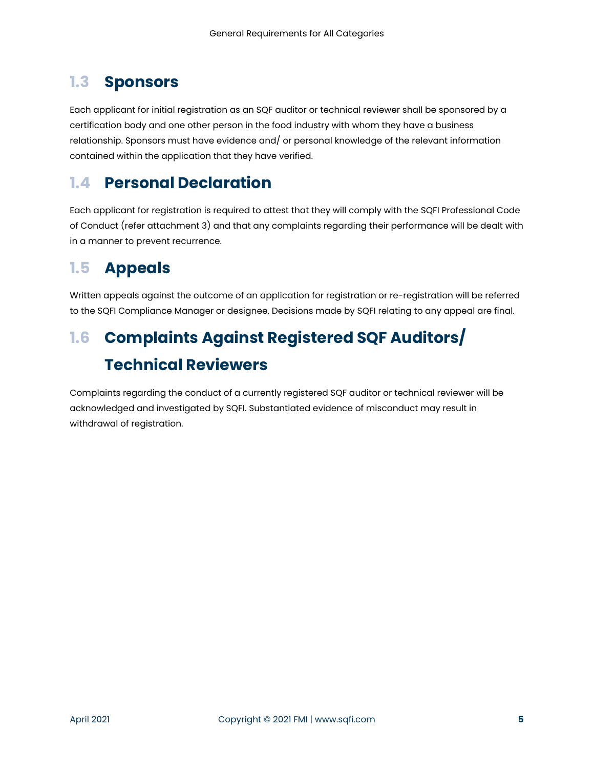# <span id="page-5-0"></span>**1.3 Sponsors**

Each applicant for initial registration as an SQF auditor or technical reviewer shall be sponsored by a certification body and one other person in the food industry with whom they have a business relationship. Sponsors must have evidence and/ or personal knowledge of the relevant information contained within the application that they have verified.

# <span id="page-5-1"></span>**1.4 Personal Declaration**

Each applicant for registration is required to attest that they will comply with the SQFI Professional Code of Conduct (refer attachment 3) and that any complaints regarding their performance will be dealt with in a manner to prevent recurrence.

# <span id="page-5-2"></span>**1.5 Appeals**

Written appeals against the outcome of an application for registration or re-registration will be referred to the SQFI Compliance Manager or designee. Decisions made by SQFI relating to any appeal are final.

# <span id="page-5-3"></span>**1.6 Complaints Against Registered SQF Auditors/ Technical Reviewers**

Complaints regarding the conduct of a currently registered SQF auditor or technical reviewer will be acknowledged and investigated by SQFI. Substantiated evidence of misconduct may result in withdrawal of registration.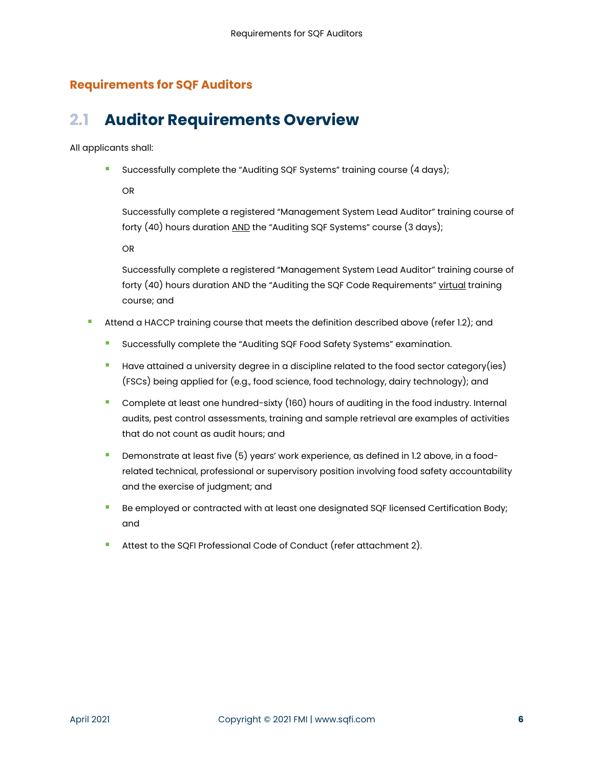### <span id="page-6-0"></span>**Requirements for SQF Auditors**

# <span id="page-6-1"></span>**2.1 Auditor Requirements Overview**

All applicants shall:

**Successfully complete the "Auditing SQF Systems" training course (4 days);** 

OR

Successfully complete a registered "Management System Lead Auditor" training course of forty (40) hours duration AND the "Auditing SQF Systems" course (3 days);

OR

Successfully complete a registered "Management System Lead Auditor" training course of forty (40) hours duration AND the "Auditing the SQF Code Requirements" virtual training course; and

- Attend a HACCP training course that meets the definition described above (refer 1.2); and
	- Successfully complete the "Auditing SQF Food Safety Systems" examination.
	- **Have attained a university degree in a discipline related to the food sector category(ies)** (FSCs) being applied for (e.g., food science, food technology, dairy technology); and
	- **Complete at least one hundred-sixty (160) hours of auditing in the food industry. Internal** audits, pest control assessments, training and sample retrieval are examples of activities that do not count as audit hours; and
	- Demonstrate at least five (5) years' work experience, as defined in 1.2 above, in a foodrelated technical, professional or supervisory position involving food safety accountability and the exercise of judgment; and
	- **Be employed or contracted with at least one designated SQF licensed Certification Body;** and
	- Attest to the SQFI Professional Code of Conduct (refer attachment 2).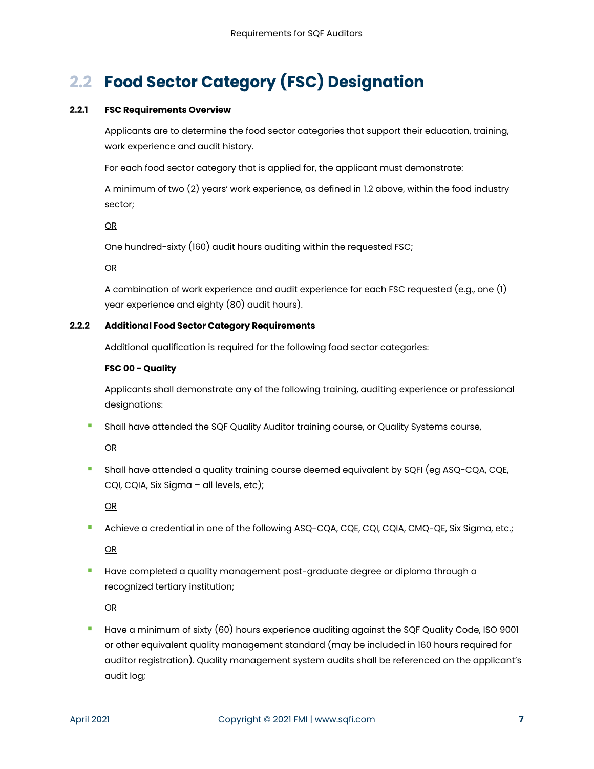# <span id="page-7-0"></span>**2.2 Food Sector Category (FSC) Designation**

#### **2.2.1 FSC Requirements Overview**

Applicants are to determine the food sector categories that support their education, training, work experience and audit history.

For each food sector category that is applied for, the applicant must demonstrate:

A minimum of two (2) years' work experience, as defined in 1.2 above, within the food industry sector;

OR

One hundred-sixty (160) audit hours auditing within the requested FSC;

OR

A combination of work experience and audit experience for each FSC requested (e.g., one (1) year experience and eighty (80) audit hours).

#### **2.2.2 Additional Food Sector Category Requirements**

Additional qualification is required for the following food sector categories:

#### **FSC 00 - Quality**

Applicants shall demonstrate any of the following training, auditing experience or professional designations:

**Shall have attended the SQF Quality Auditor training course, or Quality Systems course,** 

OR

 Shall have attended a quality training course deemed equivalent by SQFI (eg ASQ-CQA, CQE, CQI, CQIA, Six Sigma – all levels, etc);

OR

**Achieve a credential in one of the following ASQ-CQA, CQE, CQI, CQIA, CMQ-QE, Six Sigma, etc.;** 

OR

**Have completed a quality management post-graduate degree or diploma through a** recognized tertiary institution;

OR

 Have a minimum of sixty (60) hours experience auditing against the SQF Quality Code, ISO 9001 or other equivalent quality management standard (may be included in 160 hours required for auditor registration). Quality management system audits shall be referenced on the applicant's audit log;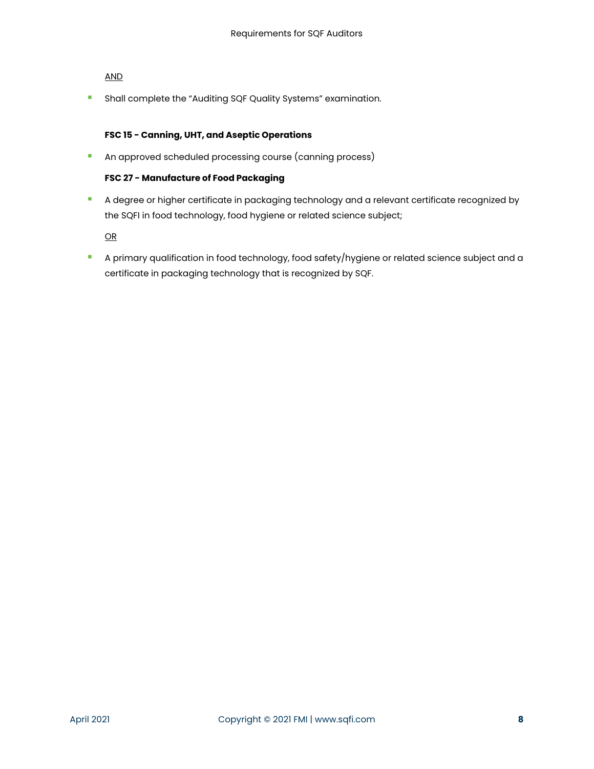#### AND

**B** Shall complete the "Auditing SQF Quality Systems" examination.

#### **FSC 15 - Canning, UHT, and Aseptic Operations**

**An approved scheduled processing course (canning process)** 

#### **FSC 27 - Manufacture of Food Packaging**

A degree or higher certificate in packaging technology and a relevant certificate recognized by the SQFI in food technology, food hygiene or related science subject;

OR

**A primary qualification in food technology, food safety/hygiene or related science subject and a** certificate in packaging technology that is recognized by SQF.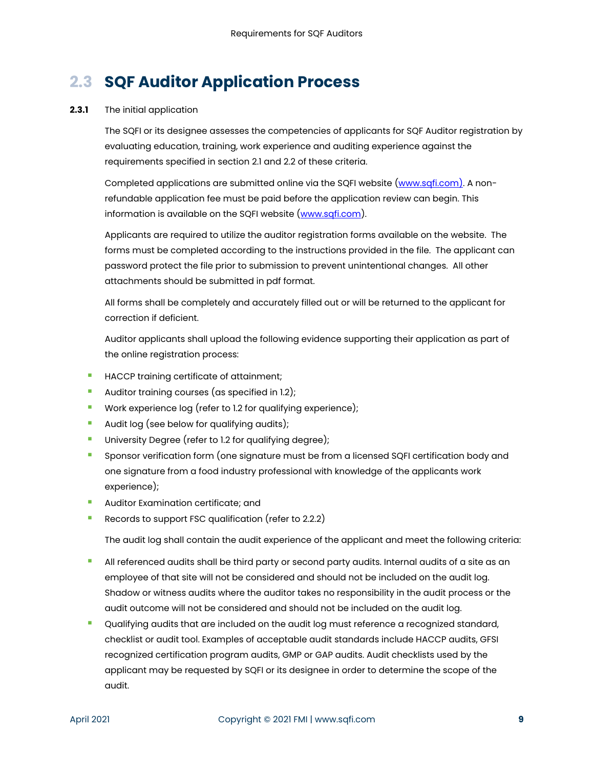# <span id="page-9-0"></span>**2.3 SQF Auditor Application Process**

#### **2.3.1** The initial application

The SQFI or its designee assesses the competencies of applicants for SQF Auditor registration by evaluating education, training, work experience and auditing experience against the requirements specified in section 2.1 and 2.2 of these criteria.

Completed applications are submitted online via the SQFI website [\(www.sqfi.com\)](http://www.sqfi.com/). A nonrefundable application fee must be paid before the application review can begin. This information is available on the SQFI website [\(www.sqfi.com\)](http://www.sqfi.com/).

Applicants are required to utilize the auditor registration forms available on the website. The forms must be completed according to the instructions provided in the file. The applicant can password protect the file prior to submission to prevent unintentional changes. All other attachments should be submitted in pdf format.

All forms shall be completely and accurately filled out or will be returned to the applicant for correction if deficient.

Auditor applicants shall upload the following evidence supporting their application as part of the online registration process:

- **HACCP training certificate of attainment;**
- **Auditor training courses (as specified in 1.2);**
- **Work experience log (refer to 1.2 for qualifying experience);**
- **Audit log (see below for qualifying audits);**
- **University Degree (refer to 1.2 for qualifying degree);**
- **Sponsor verification form (one signature must be from a licensed SQFI certification body and** one signature from a food industry professional with knowledge of the applicants work experience);
- **Auditor Examination certificate; and**
- Records to support FSC qualification (refer to 2.2.2)

The audit log shall contain the audit experience of the applicant and meet the following criteria:

- All referenced audits shall be third party or second party audits. Internal audits of a site as an employee of that site will not be considered and should not be included on the audit log. Shadow or witness audits where the auditor takes no responsibility in the audit process or the audit outcome will not be considered and should not be included on the audit log.
- Qualifying audits that are included on the audit log must reference a recognized standard, checklist or audit tool. Examples of acceptable audit standards include HACCP audits, GFSI recognized certification program audits, GMP or GAP audits. Audit checklists used by the applicant may be requested by SQFI or its designee in order to determine the scope of the audit.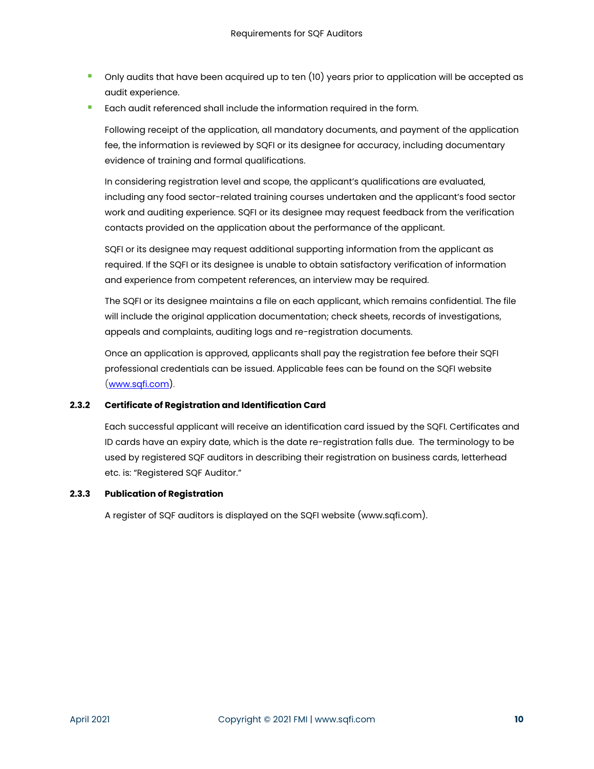- Only audits that have been acquired up to ten (10) years prior to application will be accepted as audit experience.
- **Each audit referenced shall include the information required in the form.**

Following receipt of the application, all mandatory documents, and payment of the application fee, the information is reviewed by SQFI or its designee for accuracy, including documentary evidence of training and formal qualifications.

In considering registration level and scope, the applicant's qualifications are evaluated, including any food sector-related training courses undertaken and the applicant's food sector work and auditing experience. SQFI or its designee may request feedback from the verification contacts provided on the application about the performance of the applicant.

SQFI or its designee may request additional supporting information from the applicant as required. If the SQFI or its designee is unable to obtain satisfactory verification of information and experience from competent references, an interview may be required.

The SQFI or its designee maintains a file on each applicant, which remains confidential. The file will include the original application documentation; check sheets, records of investigations, appeals and complaints, auditing logs and re-registration documents.

Once an application is approved, applicants shall pay the registration fee before their SQFI professional credentials can be issued. Applicable fees can be found on the SQFI website [\(www.sqfi.com\)](http://www.sqfi.com/).

#### **2.3.2 Certificate of Registration and Identification Card**

Each successful applicant will receive an identification card issued by the SQFI. Certificates and ID cards have an expiry date, which is the date re-registration falls due. The terminology to be used by registered SQF auditors in describing their registration on business cards, letterhead etc. is: "Registered SQF Auditor."

#### **2.3.3 Publication of Registration**

A register of SQF auditors is displayed on the SQFI website (www.sqfi.com).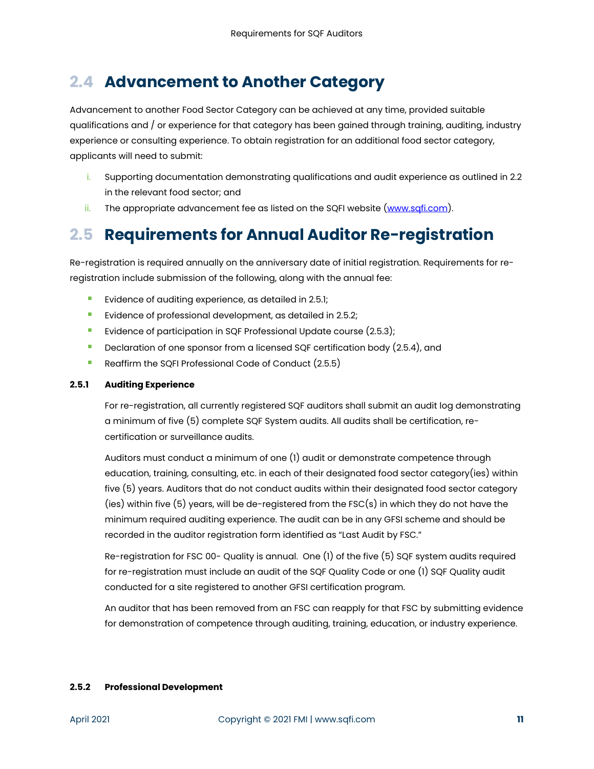## <span id="page-11-0"></span>**2.4 Advancement to Another Category**

Advancement to another Food Sector Category can be achieved at any time, provided suitable qualifications and / or experience for that category has been gained through training, auditing, industry experience or consulting experience. To obtain registration for an additional food sector category, applicants will need to submit:

- i. Supporting documentation demonstrating qualifications and audit experience as outlined in 2.2 in the relevant food sector; and
- ii. The appropriate advancement fee as listed on the SQFI website [\(www.sqfi.com\)](http://www.sqfi.com/).

# <span id="page-11-1"></span>**2.5 Requirements for Annual Auditor Re-registration**

Re-registration is required annually on the anniversary date of initial registration. Requirements for reregistration include submission of the following, along with the annual fee:

- Evidence of auditing experience, as detailed in 2.5.1;
- **Evidence of professional development, as detailed in 2.5.2;**
- **E** Evidence of participation in SQF Professional Update course (2.5.3);
- Declaration of one sponsor from a licensed SQF certification body (2.5.4), and
- Reaffirm the SQFI Professional Code of Conduct (2.5.5)

#### **2.5.1 Auditing Experience**

For re-registration, all currently registered SQF auditors shall submit an audit log demonstrating a minimum of five (5) complete SQF System audits. All audits shall be certification, recertification or surveillance audits.

Auditors must conduct a minimum of one (1) audit or demonstrate competence through education, training, consulting, etc. in each of their designated food sector category(ies) within five (5) years. Auditors that do not conduct audits within their designated food sector category (ies) within five (5) years, will be de-registered from the FSC(s) in which they do not have the minimum required auditing experience. The audit can be in any GFSI scheme and should be recorded in the auditor registration form identified as "Last Audit by FSC."

Re-registration for FSC 00- Quality is annual. One (1) of the five (5) SQF system audits required for re-registration must include an audit of the SQF Quality Code or one (1) SQF Quality audit conducted for a site registered to another GFSI certification program.

An auditor that has been removed from an FSC can reapply for that FSC by submitting evidence for demonstration of competence through auditing, training, education, or industry experience.

#### **2.5.2 Professional Development**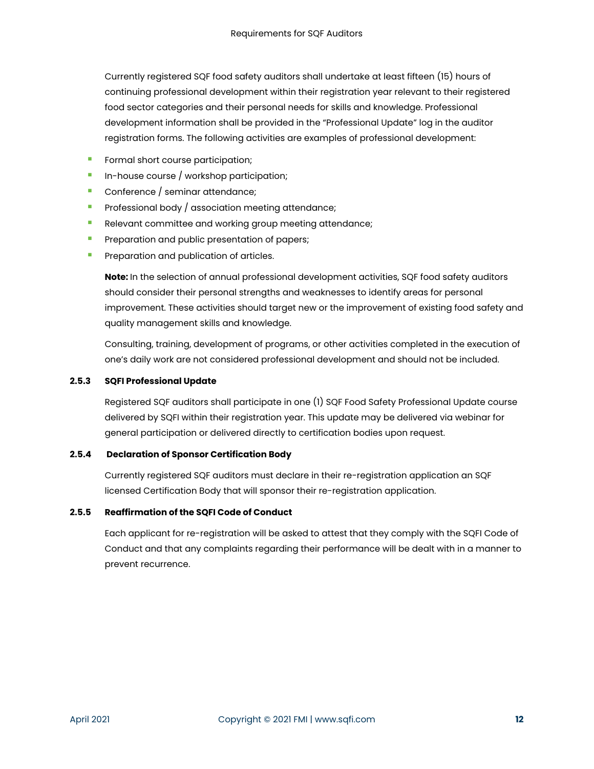Currently registered SQF food safety auditors shall undertake at least fifteen (15) hours of continuing professional development within their registration year relevant to their registered food sector categories and their personal needs for skills and knowledge. Professional development information shall be provided in the "Professional Update" log in the auditor registration forms. The following activities are examples of professional development:

- Formal short course participation;
- $\blacksquare$  In-house course / workshop participation;
- Conference / seminar attendance;
- **Professional body / association meeting attendance;**
- **Relevant committee and working group meeting attendance;**
- **Preparation and public presentation of papers;**
- **Preparation and publication of articles.**

**Note:** In the selection of annual professional development activities, SQF food safety auditors should consider their personal strengths and weaknesses to identify areas for personal improvement. These activities should target new or the improvement of existing food safety and quality management skills and knowledge.

Consulting, training, development of programs, or other activities completed in the execution of one's daily work are not considered professional development and should not be included.

#### **2.5.3 SQFI Professional Update**

Registered SQF auditors shall participate in one (1) SQF Food Safety Professional Update course delivered by SQFI within their registration year. This update may be delivered via webinar for general participation or delivered directly to certification bodies upon request.

#### **2.5.4 Declaration of Sponsor Certification Body**

Currently registered SQF auditors must declare in their re-registration application an SQF licensed Certification Body that will sponsor their re-registration application.

#### **2.5.5 Reaffirmation of the SQFI Code of Conduct**

Each applicant for re-registration will be asked to attest that they comply with the SQFI Code of Conduct and that any complaints regarding their performance will be dealt with in a manner to prevent recurrence.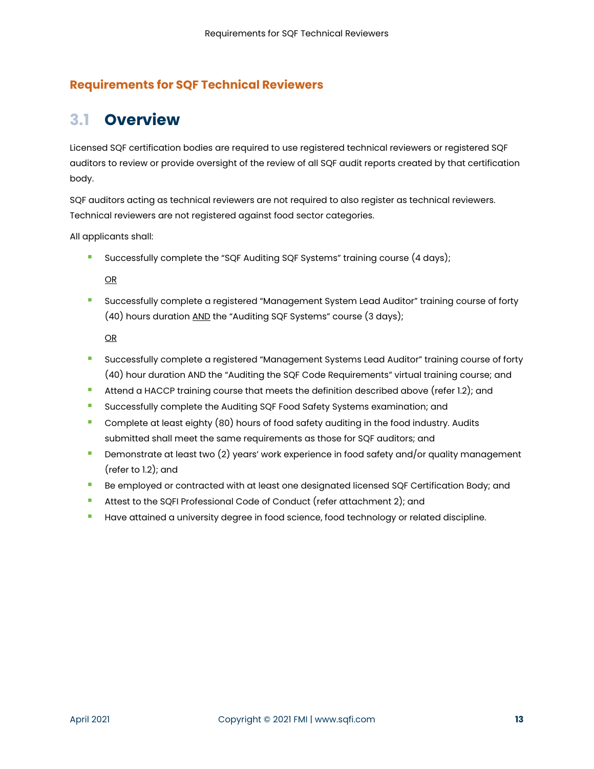### <span id="page-13-0"></span>**Requirements for SQF Technical Reviewers**

# <span id="page-13-1"></span>**3.1 Overview**

Licensed SQF certification bodies are required to use registered technical reviewers or registered SQF auditors to review or provide oversight of the review of all SQF audit reports created by that certification body.

SQF auditors acting as technical reviewers are not required to also register as technical reviewers. Technical reviewers are not registered against food sector categories.

All applicants shall:

Successfully complete the "SQF Auditing SQF Systems" training course (4 days);

OR

 Successfully complete a registered "Management System Lead Auditor" training course of forty (40) hours duration AND the "Auditing SQF Systems" course (3 days);

OR

- Successfully complete a registered "Management Systems Lead Auditor" training course of forty (40) hour duration AND the "Auditing the SQF Code Requirements" virtual training course; and
- Attend a HACCP training course that meets the definition described above (refer 1.2); and
- **Successfully complete the Auditing SQF Food Safety Systems examination; and**
- **Complete at least eighty (80) hours of food safety auditing in the food industry. Audits** submitted shall meet the same requirements as those for SQF auditors; and
- **Demonstrate at least two (2) years' work experience in food safety and/or quality management** (refer to 1.2); and
- **Be employed or contracted with at least one designated licensed SQF Certification Body; and**
- Attest to the SQFI Professional Code of Conduct (refer attachment 2); and
- **Have attained a university degree in food science, food technology or related discipline.**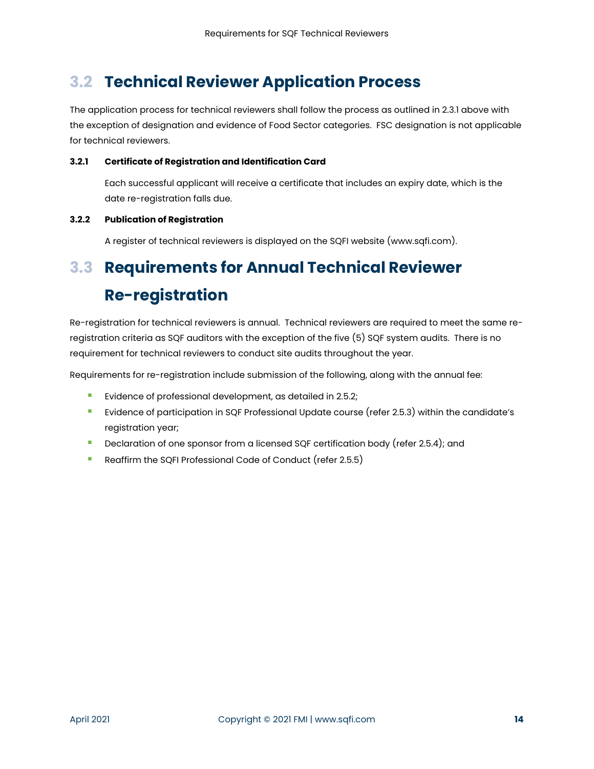# <span id="page-14-0"></span>**3.2 Technical Reviewer Application Process**

The application process for technical reviewers shall follow the process as outlined in 2.3.1 above with the exception of designation and evidence of Food Sector categories. FSC designation is not applicable for technical reviewers.

#### **3.2.1 Certificate of Registration and Identification Card**

Each successful applicant will receive a certificate that includes an expiry date, which is the date re-registration falls due.

#### **3.2.2 Publication of Registration**

A register of technical reviewers is displayed on the SQFI website (www.sqfi.com).

# <span id="page-14-1"></span>**3.3 Requirements for Annual Technical Reviewer Re-registration**

Re-registration for technical reviewers is annual. Technical reviewers are required to meet the same reregistration criteria as SQF auditors with the exception of the five (5) SQF system audits. There is no requirement for technical reviewers to conduct site audits throughout the year.

Requirements for re-registration include submission of the following, along with the annual fee:

- **EVIDENCE OF PROPRESS** EVIDENCE POINT EVIDENCE TO EVIDENCE The USB. 2.5.2;
- Evidence of participation in SQF Professional Update course (refer 2.5.3) within the candidate's registration year;
- **Declaration of one sponsor from a licensed SQF certification body (refer 2.5.4); and**
- Reaffirm the SQFI Professional Code of Conduct (refer 2.5.5)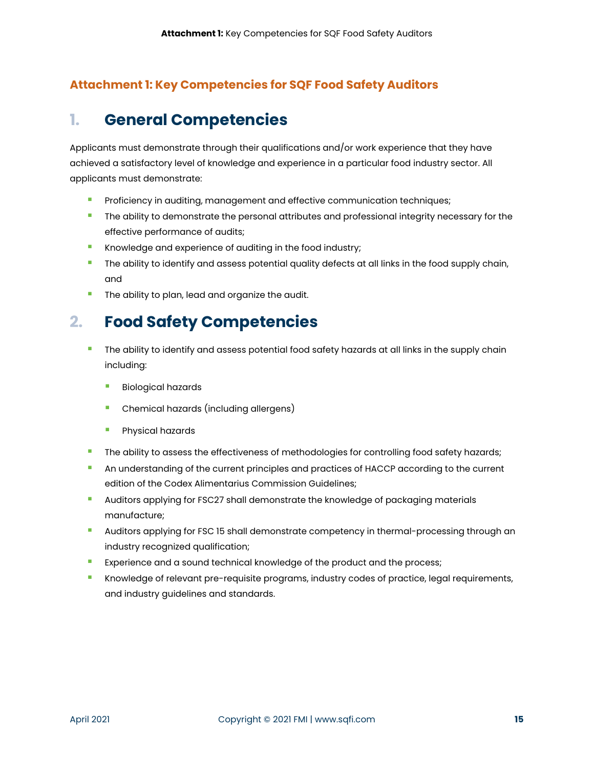### <span id="page-15-0"></span>**Attachment 1: Key Competencies for SQF Food Safety Auditors**

# <span id="page-15-1"></span>**1. General Competencies**

Applicants must demonstrate through their qualifications and/or work experience that they have achieved a satisfactory level of knowledge and experience in a particular food industry sector. All applicants must demonstrate:

- Proficiency in auditing, management and effective communication techniques;
- **The ability to demonstrate the personal attributes and professional integrity necessary for the** effective performance of audits;
- **Knowledge and experience of auditing in the food industry;**
- **The ability to identify and assess potential quality defects at all links in the food supply chain,** and
- The ability to plan, lead and organize the audit.

# <span id="page-15-2"></span>**2. Food Safety Competencies**

- **The ability to identify and assess potential food safety hazards at all links in the supply chain** including:
	- **Biological hazards**
	- **•** Chemical hazards (including allergens)
	- **Physical hazards**
- The ability to assess the effectiveness of methodologies for controlling food safety hazards;
- **An understanding of the current principles and practices of HACCP according to the current** edition of the Codex Alimentarius Commission Guidelines;
- **Auditors applying for FSC27 shall demonstrate the knowledge of packaging materials** manufacture;
- **Auditors applying for FSC 15 shall demonstrate competency in thermal-processing through an** industry recognized qualification;
- Experience and a sound technical knowledge of the product and the process;
- **K** Knowledge of relevant pre-requisite programs, industry codes of practice, legal requirements, and industry guidelines and standards.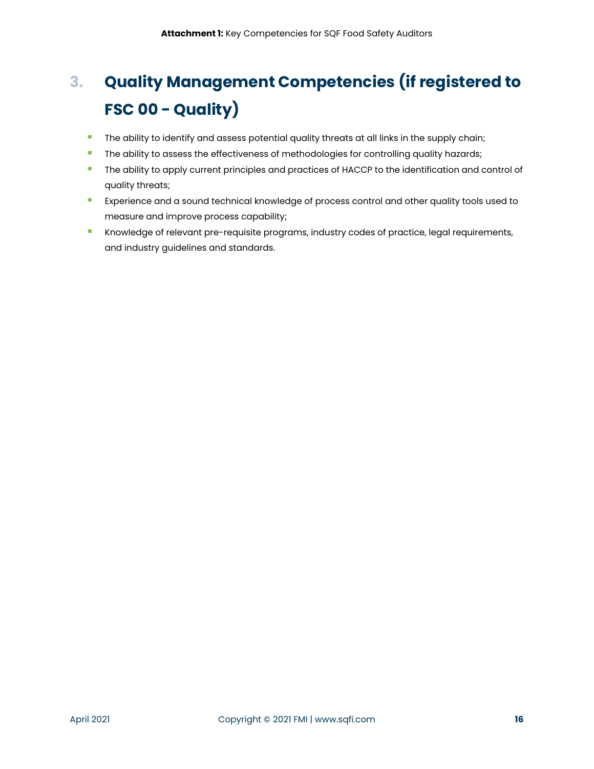# <span id="page-16-0"></span>**3. Quality Management Competencies (if registered to FSC 00 - Quality)**

- **The ability to identify and assess potential quality threats at all links in the supply chain;**
- **The ability to assess the effectiveness of methodologies for controlling quality hazards;**
- The ability to apply current principles and practices of HACCP to the identification and control of quality threats;
- **EXPERIENCE 20 FILM EXPERIENCE A** Experience and a sound technical knowledge of process control and other quality tools used to measure and improve process capability;
- **E** Knowledge of relevant pre-requisite programs, industry codes of practice, legal requirements, and industry guidelines and standards.